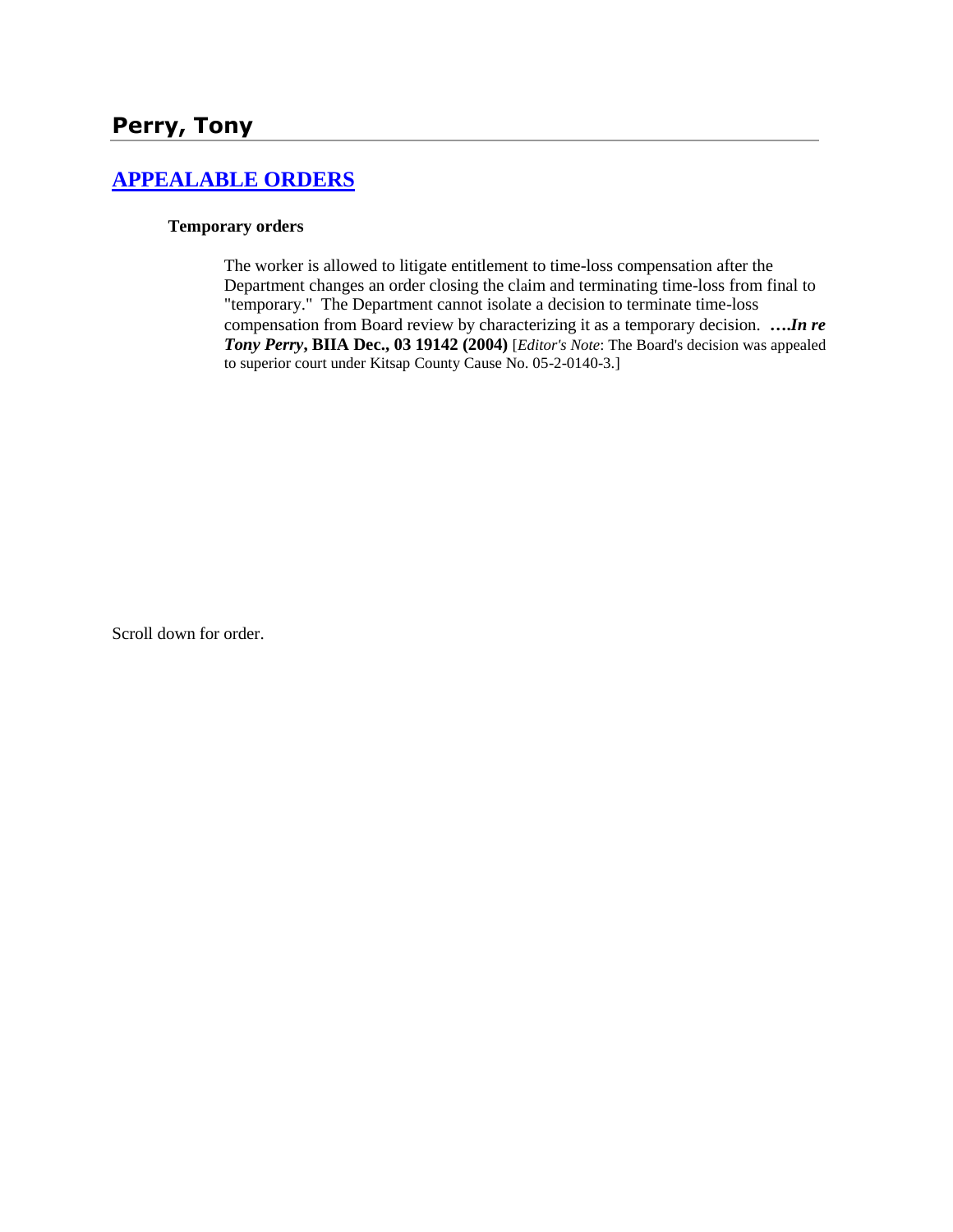#### **[APPEALABLE ORDERS](http://www.biia.wa.gov/SDSubjectIndex.html#APPEALABLE_ORDERS)**

#### **Temporary orders**

The worker is allowed to litigate entitlement to time-loss compensation after the Department changes an order closing the claim and terminating time-loss from final to "temporary." The Department cannot isolate a decision to terminate time-loss compensation from Board review by characterizing it as a temporary decision. **….***In re Tony Perry***, BIIA Dec., 03 19142 (2004)** [*Editor's Note*: The Board's decision was appealed to superior court under Kitsap County Cause No. 05-2-0140-3.]

Scroll down for order.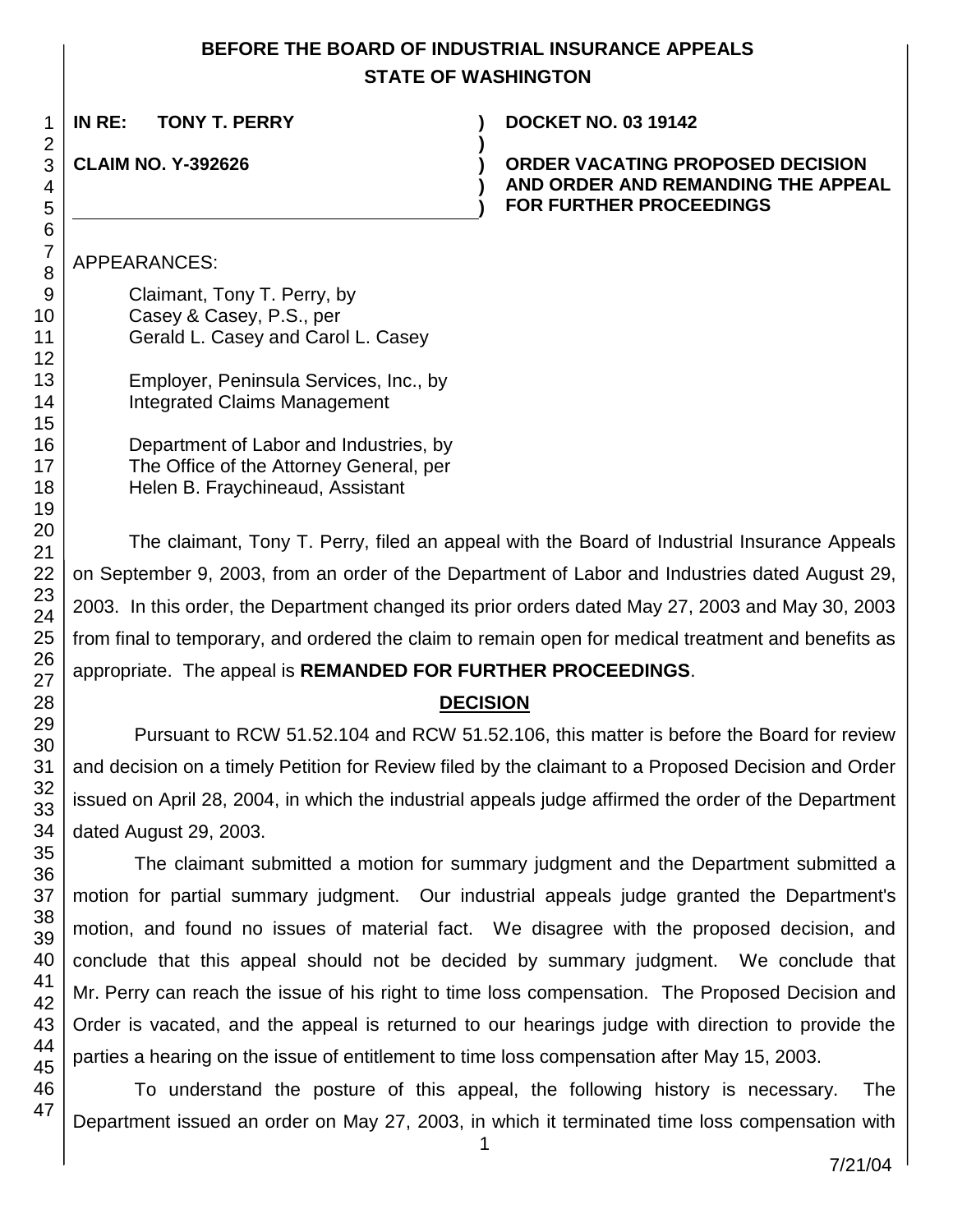# **BEFORE THE BOARD OF INDUSTRIAL INSURANCE APPEALS STATE OF WASHINGTON**

**)**

**) )**

**IN RE: TONY T. PERRY ) DOCKET NO. 03 19142**

# **CLAIM NO. Y-392626 )**

**ORDER VACATING PROPOSED DECISION AND ORDER AND REMANDING THE APPEAL FOR FURTHER PROCEEDINGS**

# APPEARANCES:

Claimant, Tony T. Perry, by Casey & Casey, P.S., per Gerald L. Casey and Carol L. Casey

Employer, Peninsula Services, Inc., by Integrated Claims Management

Department of Labor and Industries, by The Office of the Attorney General, per Helen B. Fraychineaud, Assistant

The claimant, Tony T. Perry, filed an appeal with the Board of Industrial Insurance Appeals on September 9, 2003, from an order of the Department of Labor and Industries dated August 29, 2003. In this order, the Department changed its prior orders dated May 27, 2003 and May 30, 2003 from final to temporary, and ordered the claim to remain open for medical treatment and benefits as appropriate. The appeal is **REMANDED FOR FURTHER PROCEEDINGS**.

# **DECISION**

Pursuant to RCW 51.52.104 and RCW 51.52.106, this matter is before the Board for review and decision on a timely Petition for Review filed by the claimant to a Proposed Decision and Order issued on April 28, 2004, in which the industrial appeals judge affirmed the order of the Department dated August 29, 2003.

The claimant submitted a motion for summary judgment and the Department submitted a motion for partial summary judgment. Our industrial appeals judge granted the Department's motion, and found no issues of material fact. We disagree with the proposed decision, and conclude that this appeal should not be decided by summary judgment. We conclude that Mr. Perry can reach the issue of his right to time loss compensation. The Proposed Decision and Order is vacated, and the appeal is returned to our hearings judge with direction to provide the parties a hearing on the issue of entitlement to time loss compensation after May 15, 2003.

To understand the posture of this appeal, the following history is necessary. The Department issued an order on May 27, 2003, in which it terminated time loss compensation with

1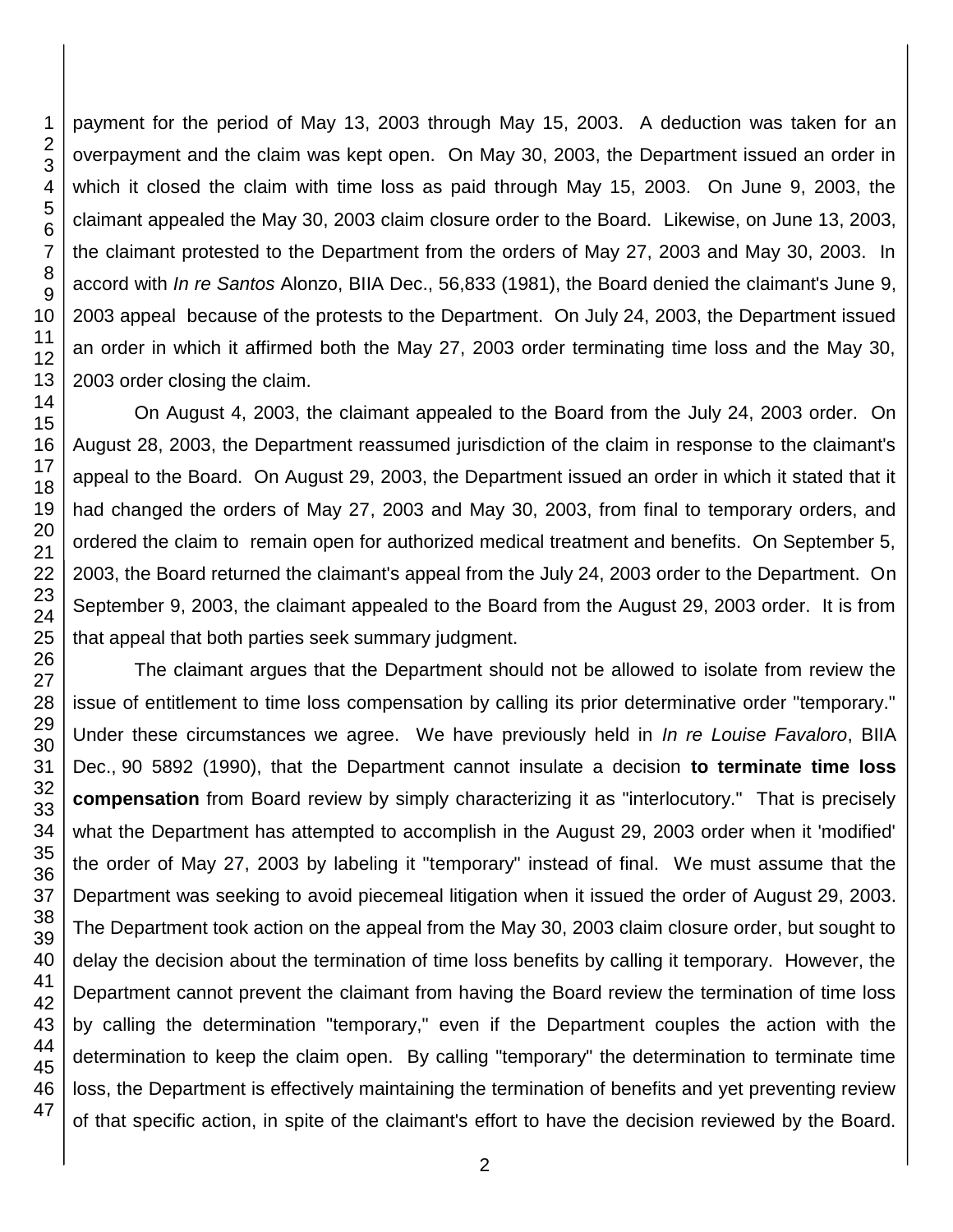payment for the period of May 13, 2003 through May 15, 2003. A deduction was taken for an overpayment and the claim was kept open. On May 30, 2003, the Department issued an order in which it closed the claim with time loss as paid through May 15, 2003. On June 9, 2003, the claimant appealed the May 30, 2003 claim closure order to the Board. Likewise, on June 13, 2003, the claimant protested to the Department from the orders of May 27, 2003 and May 30, 2003. In accord with *In re Santos* Alonzo, BIIA Dec., 56,833 (1981), the Board denied the claimant's June 9, 2003 appeal because of the protests to the Department. On July 24, 2003, the Department issued an order in which it affirmed both the May 27, 2003 order terminating time loss and the May 30, 2003 order closing the claim.

On August 4, 2003, the claimant appealed to the Board from the July 24, 2003 order. On August 28, 2003, the Department reassumed jurisdiction of the claim in response to the claimant's appeal to the Board. On August 29, 2003, the Department issued an order in which it stated that it had changed the orders of May 27, 2003 and May 30, 2003, from final to temporary orders, and ordered the claim to remain open for authorized medical treatment and benefits. On September 5, 2003, the Board returned the claimant's appeal from the July 24, 2003 order to the Department. On September 9, 2003, the claimant appealed to the Board from the August 29, 2003 order. It is from that appeal that both parties seek summary judgment.

The claimant argues that the Department should not be allowed to isolate from review the issue of entitlement to time loss compensation by calling its prior determinative order "temporary." Under these circumstances we agree. We have previously held in *In re Louise Favaloro*, BIIA Dec., 90 5892 (1990), that the Department cannot insulate a decision **to terminate time loss compensation** from Board review by simply characterizing it as "interlocutory." That is precisely what the Department has attempted to accomplish in the August 29, 2003 order when it 'modified' the order of May 27, 2003 by labeling it "temporary" instead of final. We must assume that the Department was seeking to avoid piecemeal litigation when it issued the order of August 29, 2003. The Department took action on the appeal from the May 30, 2003 claim closure order, but sought to delay the decision about the termination of time loss benefits by calling it temporary. However, the Department cannot prevent the claimant from having the Board review the termination of time loss by calling the determination "temporary," even if the Department couples the action with the determination to keep the claim open. By calling "temporary" the determination to terminate time loss, the Department is effectively maintaining the termination of benefits and yet preventing review of that specific action, in spite of the claimant's effort to have the decision reviewed by the Board.